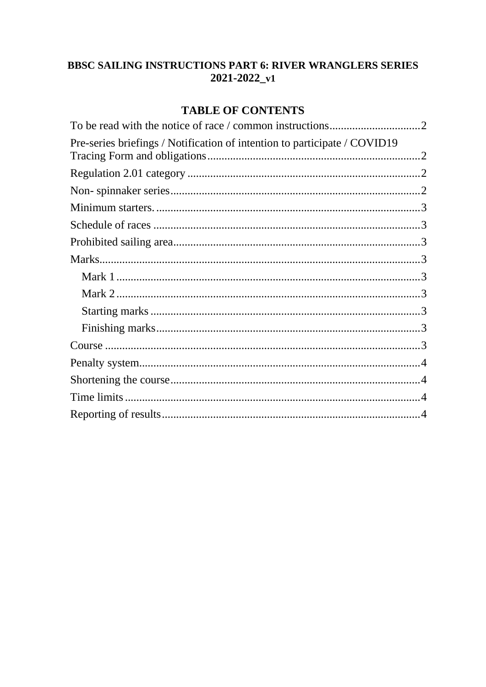# **BBSC SAILING INSTRUCTIONS PART 6: RIVER WRANGLERS SERIES**  $2021 - 2022 - v1$

# **TABLE OF CONTENTS**

| Pre-series briefings / Notification of intention to participate / COVID19 |  |
|---------------------------------------------------------------------------|--|
|                                                                           |  |
|                                                                           |  |
|                                                                           |  |
|                                                                           |  |
|                                                                           |  |
|                                                                           |  |
|                                                                           |  |
|                                                                           |  |
|                                                                           |  |
|                                                                           |  |
|                                                                           |  |
|                                                                           |  |
|                                                                           |  |
|                                                                           |  |
|                                                                           |  |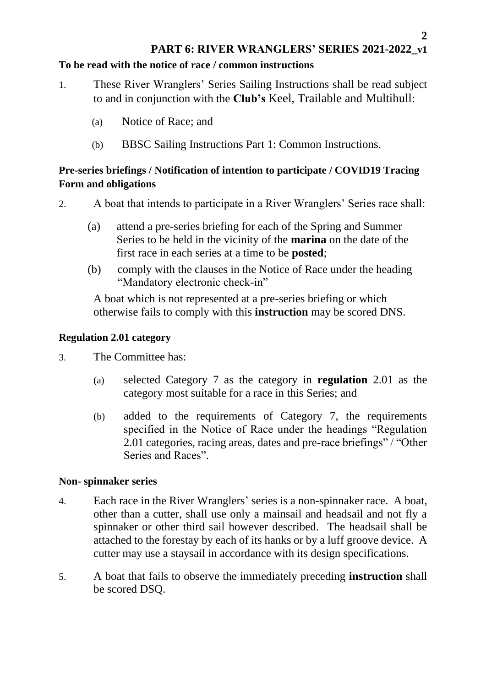## **PART 6: RIVER WRANGLERS' SERIES 2021-2022\_v1**

#### <span id="page-1-0"></span>**To be read with the notice of race / common instructions**

- 1. These River Wranglers' Series Sailing Instructions shall be read subject to and in conjunction with the **Club's** Keel, Trailable and Multihull:
	- (a) Notice of Race; and
	- (b) BBSC Sailing Instructions Part 1: Common Instructions.

### <span id="page-1-1"></span>**Pre-series briefings / Notification of intention to participate / COVID19 Tracing Form and obligations**

2. A boat that intends to participate in a River Wranglers' Series race shall:

- (a) attend a pre-series briefing for each of the Spring and Summer Series to be held in the vicinity of the **marina** on the date of the first race in each series at a time to be **posted**;
- (b) comply with the clauses in the Notice of Race under the heading "Mandatory electronic check-in"

A boat which is not represented at a pre-series briefing or which otherwise fails to comply with this **instruction** may be scored DNS.

### <span id="page-1-2"></span>**Regulation 2.01 category**

3. The Committee has:

- (a) selected Category 7 as the category in **regulation** 2.01 as the category most suitable for a race in this Series; and
- (b) added to the requirements of Category 7, the requirements specified in the Notice of Race under the headings "Regulation 2.01 categories, racing areas, dates and pre-race briefings" / "Other Series and Races".

#### <span id="page-1-3"></span>**Non- spinnaker series**

- 4. Each race in the River Wranglers' series is a non-spinnaker race. A boat, other than a cutter, shall use only a mainsail and headsail and not fly a spinnaker or other third sail however described. The headsail shall be attached to the forestay by each of its hanks or by a luff groove device. A cutter may use a staysail in accordance with its design specifications.
- 5. A boat that fails to observe the immediately preceding **instruction** shall be scored DSQ.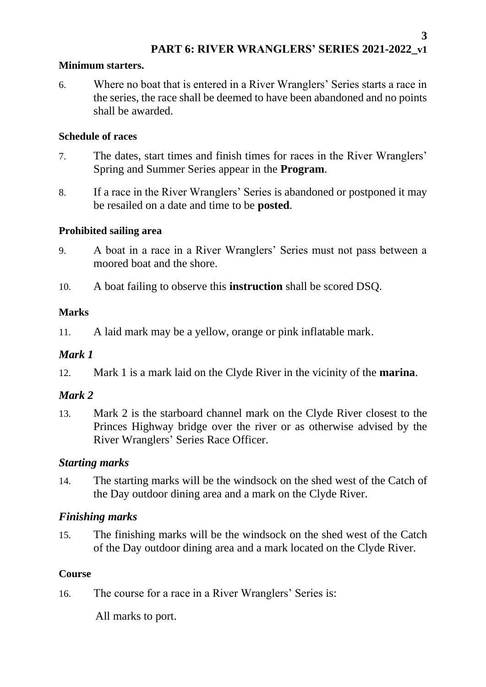### <span id="page-2-0"></span>**Minimum starters.**

6. Where no boat that is entered in a River Wranglers' Series starts a race in the series, the race shall be deemed to have been abandoned and no points shall be awarded.

### <span id="page-2-1"></span>**Schedule of races**

- 7. The dates, start times and finish times for races in the River Wranglers' Spring and Summer Series appear in the **Program**.
- 8. If a race in the River Wranglers' Series is abandoned or postponed it may be resailed on a date and time to be **posted**.

### <span id="page-2-2"></span>**Prohibited sailing area**

- 9. A boat in a race in a River Wranglers' Series must not pass between a moored boat and the shore.
- 10. A boat failing to observe this **instruction** shall be scored DSQ.

## <span id="page-2-3"></span>**Marks**

11. A laid mark may be a yellow, orange or pink inflatable mark.

## <span id="page-2-4"></span>*Mark 1*

12. Mark 1 is a mark laid on the Clyde River in the vicinity of the **marina**.

# <span id="page-2-5"></span>*Mark 2*

13. Mark 2 is the starboard channel mark on the Clyde River closest to the Princes Highway bridge over the river or as otherwise advised by the River Wranglers' Series Race Officer.

## <span id="page-2-6"></span>*Starting marks*

14. The starting marks will be the windsock on the shed west of the Catch of the Day outdoor dining area and a mark on the Clyde River.

## <span id="page-2-7"></span>*Finishing marks*

15. The finishing marks will be the windsock on the shed west of the Catch of the Day outdoor dining area and a mark located on the Clyde River.

## <span id="page-2-8"></span>**Course**

16. The course for a race in a River Wranglers' Series is:

All marks to port.